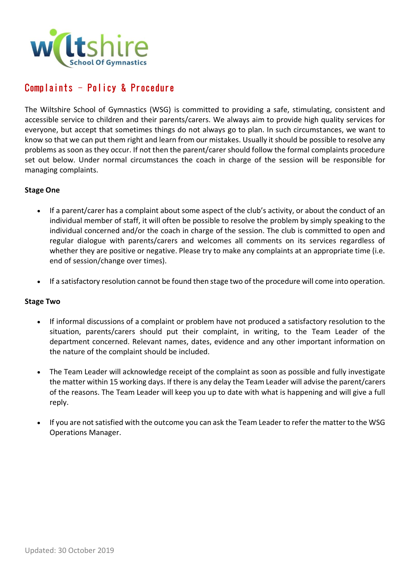

# Complaints – Policy & Procedure

The Wiltshire School of Gymnastics (WSG) is committed to providing a safe, stimulating, consistent and accessible service to children and their parents/carers. We always aim to provide high quality services for everyone, but accept that sometimes things do not always go to plan. In such circumstances, we want to know so that we can put them right and learn from our mistakes. Usually it should be possible to resolve any problems as soon as they occur. If not then the parent/carer should follow the formal complaints procedure set out below. Under normal circumstances the coach in charge of the session will be responsible for managing complaints.

#### **Stage One**

- If a parent/carer has a complaint about some aspect of the club's activity, or about the conduct of an individual member of staff, it will often be possible to resolve the problem by simply speaking to the individual concerned and/or the coach in charge of the session. The club is committed to open and regular dialogue with parents/carers and welcomes all comments on its services regardless of whether they are positive or negative. Please try to make any complaints at an appropriate time (i.e. end of session/change over times).
- If a satisfactory resolution cannot be found then stage two of the procedure will come into operation.

#### **Stage Two**

- If informal discussions of a complaint or problem have not produced a satisfactory resolution to the situation, parents/carers should put their complaint, in writing, to the Team Leader of the department concerned. Relevant names, dates, evidence and any other important information on the nature of the complaint should be included.
- The Team Leader will acknowledge receipt of the complaint as soon as possible and fully investigate the matter within 15 working days. If there is any delay the Team Leader will advise the parent/carers of the reasons. The Team Leader will keep you up to date with what is happening and will give a full reply.
- If you are not satisfied with the outcome you can ask the Team Leader to refer the matter to the WSG Operations Manager.